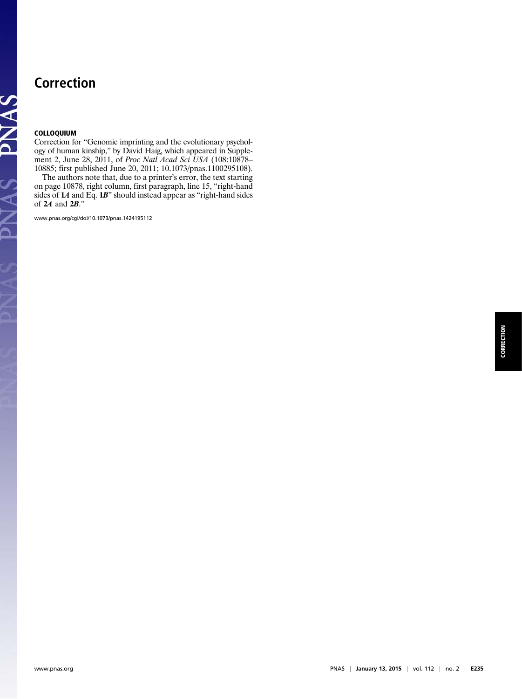# Correction

#### COLLOQUIUM

PNAS PNAS

Correction for "Genomic imprinting and the evolutionary psychology of human kinship," by David Haig, which appeared in Supplement 2, June 28, 2011, of Proc Natl Acad Sci USA (108:10878– 10885; first published June 20, 2011; 10.1073/pnas.1100295108).

The authors note that, due to a printer's error, the text starting on page 10878, right column, first paragraph, line 15, "right-hand sides of 1A and Eq. 1B" should instead appear as "right-hand sides of  $2A$  and  $2B$ ."

<www.pnas.org/cgi/doi/10.1073/pnas.1424195112>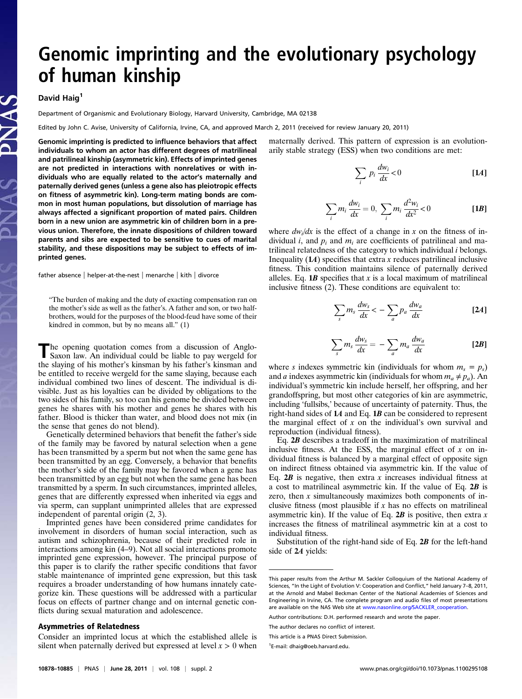# Genomic imprinting and the evolutionary psychology of human kinship

# David Haig<sup>1</sup>

S

Department of Organismic and Evolutionary Biology, Harvard University, Cambridge, MA 02138

Edited by John C. Avise, University of California, Irvine, CA, and approved March 2, 2011 (received for review January 20, 2011)

Genomic imprinting is predicted to influence behaviors that affect individuals to whom an actor has different degrees of matrilineal and patrilineal kinship (asymmetric kin). Effects of imprinted genes are not predicted in interactions with nonrelatives or with individuals who are equally related to the actor's maternally and paternally derived genes (unless a gene also has pleiotropic effects on fitness of asymmetric kin). Long-term mating bonds are common in most human populations, but dissolution of marriage has always affected a significant proportion of mated pairs. Children born in a new union are asymmetric kin of children born in a previous union. Therefore, the innate dispositions of children toward parents and sibs are expected to be sensitive to cues of marital stability, and these dispositions may be subject to effects of imprinted genes.

father absence | helper-at-the-nest | menarche | kith | divorce

"The burden of making and the duty of exacting compensation ran on the mother's side as well as the father's. A father and son, or two halfbrothers, would for the purposes of the blood-feud have some of their kindred in common, but by no means all." (1)

The opening quotation comes from a discussion of Anglo-Saxon law. An individual could be liable to pay wergeld for the slaying of his mother's kinsman by his father's kinsman and be entitled to receive wergeld for the same slaying, because each individual combined two lines of descent. The individual is divisible. Just as his loyalties can be divided by obligations to the two sides of his family, so too can his genome be divided between genes he shares with his mother and genes he shares with his father. Blood is thicker than water, and blood does not mix (in the sense that genes do not blend).

Genetically determined behaviors that benefit the father's side of the family may be favored by natural selection when a gene has been transmitted by a sperm but not when the same gene has been transmitted by an egg. Conversely, a behavior that benefits the mother's side of the family may be favored when a gene has been transmitted by an egg but not when the same gene has been transmitted by a sperm. In such circumstances, imprinted alleles, genes that are differently expressed when inherited via eggs and via sperm, can supplant unimprinted alleles that are expressed independent of parental origin (2, 3).

Imprinted genes have been considered prime candidates for involvement in disorders of human social interaction, such as autism and schizophrenia, because of their predicted role in interactions among kin (4–9). Not all social interactions promote imprinted gene expression, however. The principal purpose of this paper is to clarify the rather specific conditions that favor stable maintenance of imprinted gene expression, but this task requires a broader understanding of how humans innately categorize kin. These questions will be addressed with a particular focus on effects of partner change and on internal genetic conflicts during sexual maturation and adolescence.

# Asymmetries of Relatedness

Consider an imprinted locus at which the established allele is silent when paternally derived but expressed at level  $x > 0$  when maternally derived. This pattern of expression is an evolutionarily stable strategy (ESS) when two conditions are met:

$$
\sum_{i} p_i \frac{dw_i}{dx} < 0 \tag{14}
$$

$$
\sum_{i} m_i \frac{dw_i}{dx} = 0, \ \sum_{i} m_i \frac{d^2 w_i}{dx^2} < 0 \tag{1B}
$$

where  $dw_i/dx$  is the effect of a change in x on the fitness of individual i, and  $p_i$  and  $m_i$  are coefficients of patrilineal and matrilineal relatedness of the category to which individual i belongs. Inequality  $(1)$  specifies that extra x reduces patrilineal inclusive fitness. This condition maintains silence of paternally derived alleles. Eq.  $1B$  specifies that x is a local maximum of matrilineal inclusive fitness (2). These conditions are equivalent to:

$$
\sum_{s} m_{s} \frac{dw_{s}}{dx} < -\sum_{a} p_{a} \frac{dw_{a}}{dx}
$$
 [24]

$$
\sum_{s} m_{s} \frac{dw_{s}}{dx} = -\sum_{a} m_{a} \frac{dw_{a}}{dx}
$$
 [2B]

where s indexes symmetric kin (individuals for whom  $m_s = p_s$ ) and a indexes asymmetric kin (individuals for whom  $m_a \neq p_a$ ). An individual's symmetric kin include herself, her offspring, and her grandoffspring, but most other categories of kin are asymmetric, including 'fullsibs,' because of uncertainty of paternity. Thus, the right-hand sides of 1A and Eq. 1B can be considered to represent the marginal effect of  $x$  on the individual's own survival and reproduction (individual fitness).

Eq. 2B describes a tradeoff in the maximization of matrilineal inclusive fitness. At the ESS, the marginal effect of  $x$  on individual fitness is balanced by a marginal effect of opposite sign on indirect fitness obtained via asymmetric kin. If the value of Eq. 2B is negative, then extra x increases individual fitness at a cost to matrilineal asymmetric kin. If the value of Eq. 2B is zero, then x simultaneously maximizes both components of inclusive fitness (most plausible if  $x$  has no effects on matrilineal asymmetric kin). If the value of Eq.  $2B$  is positive, then extra x increases the fitness of matrilineal asymmetric kin at a cost to individual fitness.

Substitution of the right-hand side of Eq. 2B for the left-hand side of 2A yields:

This paper results from the Arthur M. Sackler Colloquium of the National Academy of Sciences, "In the Light of Evolution V: Cooperation and Conflict," held January 7–8, 2011, at the Arnold and Mabel Beckman Center of the National Academies of Sciences and Engineering in Irvine, CA. The complete program and audio files of most presentations are available on the NAS Web site at [www.nasonline.org/SACKLER\\_cooperation](http://www.nasonline.org/SACKLER_cooperation).

Author contributions: D.H. performed research and wrote the paper.

The author declares no conflict of interest.

This article is a PNAS Direct Submission.

<sup>1</sup> E-mail: [dhaig@oeb.harvard.edu.](mailto:dhaig@oeb.harvard.edu)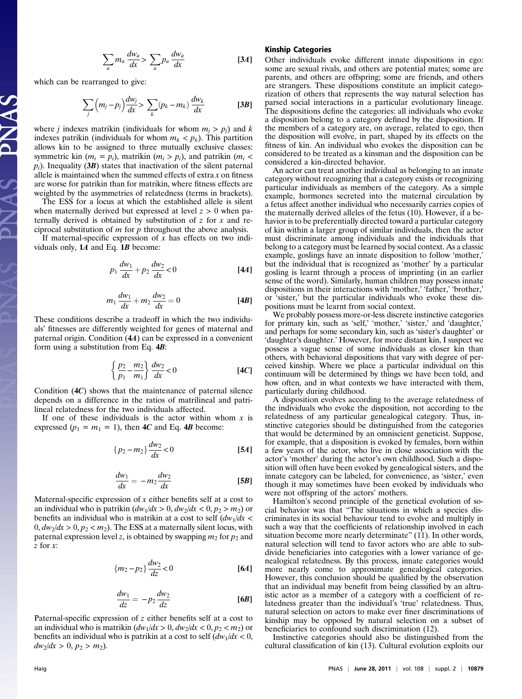$$
\sum_{a} m_a \frac{dw_a}{dx} > \sum_{a} p_a \frac{dw_a}{dx}
$$
 [34]

which can be rearranged to give:

$$
\sum_{j} \left( m_j - p_j \right) \frac{dw_j}{dx} > \sum_{k} \left( p_k - m_k \right) \frac{dw_k}{dx} \tag{3B}
$$

where *j* indexes matrikin (individuals for whom  $m_i > p_i$ ) and k indexes patrikin (individuals for whom  $m_k < p_k$ ). This partition allows kin to be assigned to three mutually exclusive classes: symmetric kin  $(m_i = p_i)$ , matrikin  $(m_i > p_i)$ , and patrikin  $(m_i <$  $p_i$ ). Inequality (3B) states that inactivation of the silent paternal allele is maintained when the summed effects of extra  $x$  on fitness are worse for patrikin than for matrikin, where fitness effects are weighted by the asymmetries of relatedness (terms in brackets).

The ESS for a locus at which the established allele is silent when maternally derived but expressed at level  $z > 0$  when paternally derived is obtained by substitution of  $z$  for  $x$  and reciprocal substitution of  $m$  for  $p$  throughout the above analysis.

If maternal-specific expression of  $\overline{x}$  has effects on two individuals only,  $1A$  and Eq.  $1B$  become:

$$
p_1 \frac{dw_1}{dx} + p_2 \frac{dw_2}{dx} < 0
$$
 [44]

$$
m_1 \frac{dw_1}{dx} + m_2 \frac{dw_2}{dx} = 0
$$
 [4B]

These conditions describe a tradeoff in which the two individuals' fitnesses are differently weighted for genes of maternal and paternal origin. Condition (4A) can be expressed in a convenient form using a substitution from Eq. 4B:

$$
\left\{\frac{p_2}{p_1} - \frac{m_2}{m_1}\right\} \frac{dw_2}{dx} < 0 \tag{4C}
$$

Condition (4C) shows that the maintenance of paternal silence depends on a difference in the ratios of matrilineal and patrilineal relatedness for the two individuals affected.

If one of these individuals is the actor within whom  $x$  is expressed ( $p_1 = m_1 = 1$ ), then 4C and Eq. 4B become:

$$
\{p_2 - m_2\} \frac{dw_2}{dx} < 0
$$
 [5A]

$$
\frac{dw_1}{dx} = -m_2 \frac{dw_2}{dx} \qquad \qquad [5B]
$$

Maternal-specific expression of  $x$  either benefits self at a cost to an individual who is patrikin  $(dw_1/dx > 0, dw_2/dx < 0, p_2 > m_2)$  or benefits an individual who is matrikin at a cost to self  $\frac{dw_1}{dx}$  <  $0, dw_2/dx > 0, p_2 < m_2$ ). The ESS at a maternally silent locus, with paternal expression level z, is obtained by swapping  $m_2$  for  $p_2$  and z for x:

$$
{m_2 - p_2} \frac{dw_2}{dz} < 0
$$
 [64]

$$
\frac{dw_1}{dz} = -p_2 \frac{dw_2}{dz} \tag{6B}
$$

Paternal-specific expression of z either benefits self at a cost to an individual who is matrikin  $(dw_1/dx > 0, dw_2/dx < 0, p_2 < m_2)$  or benefits an individual who is patrikin at a cost to self  $\frac{dw_1}{dx} < 0$ ,  $dw_2/dx > 0, p_2 > m_2$ ).

# Kinship Categories

Other individuals evoke different innate dispositions in ego: some are sexual rivals, and others are potential mates; some are parents, and others are offspring; some are friends, and others are strangers. These dispositions constitute an implicit categorization of others that represents the way natural selection has parsed social interactions in a particular evolutionary lineage. The dispositions define the categories: all individuals who evoke a disposition belong to a category defined by the disposition. If the members of a category are, on average, related to ego, then the disposition will evolve, in part, shaped by its effects on the fitness of kin. An individual who evokes the disposition can be considered to be treated as a kinsman and the disposition can be considered a kin-directed behavior.

An actor can treat another individual as belonging to an innate category without recognizing that a category exists or recognizing particular individuals as members of the category. As a simple example, hormones secreted into the maternal circulation by a fetus affect another individual who necessarily carries copies of the maternally derived alleles of the fetus (10). However, if a behavior is to be preferentially directed toward a particular category of kin within a larger group of similar individuals, then the actor must discriminate among individuals and the individuals that belong to a category must be learned by social context. As a classic example, goslings have an innate disposition to follow 'mother,' but the individual that is recognized as 'mother' by a particular gosling is learnt through a process of imprinting (in an earlier sense of the word). Similarly, human children may possess innate dispositions in their interactions with 'mother,' 'father,' 'brother,' or 'sister,' but the particular individuals who evoke these dispositions must be learnt from social context.

We probably possess more-or-less discrete instinctive categories for primary kin, such as 'self,' 'mother,' 'sister,' and 'daughter,' and perhaps for some secondary kin, such as 'sister's daughter' or 'daughter's daughter.' However, for more distant kin, I suspect we possess a vague sense of some individuals as closer kin than others, with behavioral dispositions that vary with degree of perceived kinship. Where we place a particular individual on this continuum will be determined by things we have been told, and how often, and in what contexts we have interacted with them, particularly during childhood.

A disposition evolves according to the average relatedness of the individuals who evoke the disposition, not according to the relatedness of any particular genealogical category. Thus, instinctive categories should be distinguished from the categories that would be determined by an omniscient geneticist. Suppose, for example, that a disposition is evoked by females, born within a few years of the actor, who live in close association with the actor's 'mother' during the actor's own childhood. Such a disposition will often have been evoked by genealogical sisters, and the innate category can be labeled, for convenience, as 'sister,' even though it may sometimes have been evoked by individuals who were not offspring of the actors' mothers.

Hamilton's second principle of the genetical evolution of social behavior was that "The situations in which a species discriminates in its social behaviour tend to evolve and multiply in such a way that the coefficients of relationship involved in each situation become more nearly determinate" (11). In other words, natural selection will tend to favor actors who are able to subdivide beneficiaries into categories with a lower variance of genealogical relatedness. By this process, innate categories would more nearly come to approximate genealogical categories. However, this conclusion should be qualified by the observation that an individual may benefit from being classified by an altruistic actor as a member of a category with a coefficient of relatedness greater than the individual's 'true' relatedness. Thus, natural selection on actors to make ever finer discriminations of kinship may be opposed by natural selection on a subset of beneficiaries to confound such discrimination (12).

Instinctive categories should also be distinguished from the cultural classification of kin (13). Cultural evolution exploits our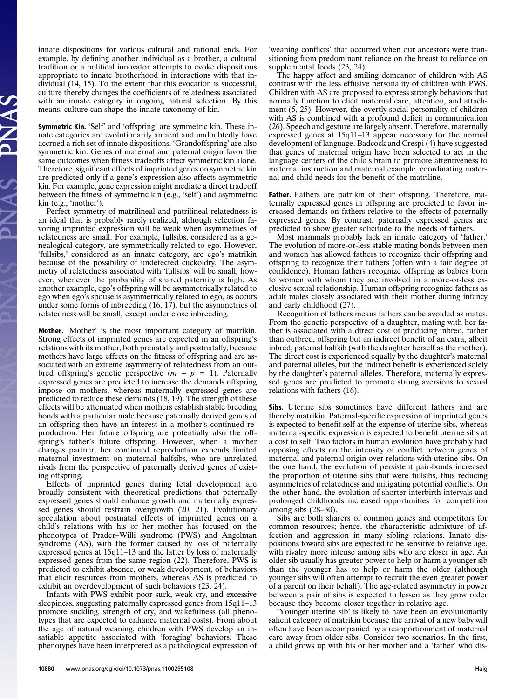innate dispositions for various cultural and rational ends. For example, by defining another individual as a brother, a cultural tradition or a political innovator attempts to evoke dispositions appropriate to innate brotherhood in interactions with that individual (14, 15). To the extent that this evocation is successful, culture thereby changes the coefficients of relatedness associated with an innate category in ongoing natural selection. By this means, culture can shape the innate taxonomy of kin.

Symmetric Kin. 'Self' and 'offspring' are symmetric kin. These innate categories are evolutionarily ancient and undoubtedly have accrued a rich set of innate dispositions. 'Grandoffspring' are also symmetric kin. Genes of maternal and paternal origin favor the same outcomes when fitness tradeoffs affect symmetric kin alone. Therefore, significant effects of imprinted genes on symmetric kin are predicted only if a gene's expression also affects asymmetric kin. For example, gene expression might mediate a direct tradeoff between the fitness of symmetric kin (e.g., 'self') and asymmetric kin (e.g., 'mother').

Perfect symmetry of matrilineal and patrilineal relatedness is an ideal that is probably rarely realized, although selection favoring imprinted expression will be weak when asymmetries of relatedness are small. For example, fullsibs, considered as a genealogical category, are symmetrically related to ego. However, 'fullsibs,' considered as an innate category, are ego's matrikin because of the possibility of undetected cuckoldry. The asymmetry of relatedness associated with 'fullsibs' will be small, however, whenever the probability of shared paternity is high. As another example, ego's offspring will be asymmetrically related to ego when ego's spouse is asymmetrically related to ego, as occurs under some forms of inbreeding (16, 17), but the asymmetries of relatedness will be small, except under close inbreeding.

Mother. 'Mother' is the most important category of matrikin. Strong effects of imprinted genes are expected in an offspring's relations with its mother, both prenatally and postnatally, because mothers have large effects on the fitness of offspring and are associated with an extreme asymmetry of relatedness from an outbred offspring's genetic perspective  $(m - p = 1)$ . Paternally expressed genes are predicted to increase the demands offspring impose on mothers, whereas maternally expressed genes are predicted to reduce these demands (18, 19). The strength of these effects will be attenuated when mothers establish stable breeding bonds with a particular male because paternally derived genes of an offspring then have an interest in a mother's continued reproduction. Her future offspring are potentially also the offspring's father's future offspring. However, when a mother changes partner, her continued reproduction expends limited maternal investment on maternal halfsibs, who are unrelated rivals from the perspective of paternally derived genes of existing offspring.

Effects of imprinted genes during fetal development are broadly consistent with theoretical predictions that paternally expressed genes should enhance growth and maternally expressed genes should restrain overgrowth (20, 21). Evolutionary speculation about postnatal effects of imprinted genes on a child's relations with his or her mother has focused on the phenotypes of Prader–Willi syndrome (PWS) and Angelman syndrome (AS), with the former caused by loss of paternally expressed genes at 15q11–13 and the latter by loss of maternally expressed genes from the same region (22). Therefore, PWS is predicted to exhibit absence, or weak development, of behaviors that elicit resources from mothers, whereas AS is predicted to exhibit an overdevelopment of such behaviors (23, 24).

Infants with PWS exhibit poor suck, weak cry, and excessive sleepiness, suggesting paternally expressed genes from 15q11–13 promote suckling, strength of cry, and wakefulness (all phenotypes that are expected to enhance maternal costs). From about the age of natural weaning, children with PWS develop an insatiable appetite associated with 'foraging' behaviors. These phenotypes have been interpreted as a pathological expression of

'weaning conflicts' that occurred when our ancestors were transitioning from predominant reliance on the breast to reliance on supplemental foods (23, 24).

The happy affect and smiling demeanor of children with AS contrast with the less effusive personality of children with PWS. Children with AS are proposed to express strongly behaviors that normally function to elicit maternal care, attention, and attachment (5, 25). However, the overtly social personality of children with AS is combined with a profound deficit in communication (26). Speech and gesture are largely absent. Therefore, maternally expressed genes at 15q11–13 appear necessary for the normal development of language. Badcock and Crespi (4) have suggested that genes of maternal origin have been selected to act in the language centers of the child's brain to promote attentiveness to maternal instruction and maternal example, coordinating maternal and child needs for the benefit of the matriline.

Father. Fathers are patrikin of their offspring. Therefore, maternally expressed genes in offspring are predicted to favor increased demands on fathers relative to the effects of paternally expressed genes. By contrast, paternally expressed genes are predicted to show greater solicitude to the needs of fathers.

Most mammals probably lack an innate category of 'father.' The evolution of more-or-less stable mating bonds between men and women has allowed fathers to recognize their offspring and offspring to recognize their fathers (often with a fair degree of confidence). Human fathers recognize offspring as babies born to women with whom they are involved in a more-or-less exclusive sexual relationship. Human offspring recognize fathers as adult males closely associated with their mother during infancy and early childhood (27).

Recognition of fathers means fathers can be avoided as mates. From the genetic perspective of a daughter, mating with her father is associated with a direct cost of producing inbred, rather than outbred, offspring but an indirect benefit of an extra, albeit inbred, paternal halfsib (with the daughter herself as the mother). The direct cost is experienced equally by the daughter's maternal and paternal alleles, but the indirect benefit is experienced solely by the daughter's paternal alleles. Therefore, maternally expressed genes are predicted to promote strong aversions to sexual relations with fathers (16).

Sibs. Uterine sibs sometimes have different fathers and are thereby matrikin. Paternal-specific expression of imprinted genes is expected to benefit self at the expense of uterine sibs, whereas maternal-specific expression is expected to benefit uterine sibs at a cost to self. Two factors in human evolution have probably had opposing effects on the intensity of conflict between genes of maternal and paternal origin over relations with uterine sibs. On the one hand, the evolution of persistent pair-bonds increased the proportion of uterine sibs that were fullsibs, thus reducing asymmetries of relatedness and mitigating potential conflicts. On the other hand, the evolution of shorter interbirth intervals and prolonged childhoods increased opportunities for competition among sibs (28–30).

Sibs are both sharers of common genes and competitors for common resources; hence, the characteristic admixture of affection and aggression in many sibling relations. Innate dispositions toward sibs are expected to be sensitive to relative age, with rivalry more intense among sibs who are closer in age. An older sib usually has greater power to help or harm a younger sib than the younger has to help or harm the older (although younger sibs will often attempt to recruit the even greater power of a parent on their behalf). The age-related asymmetry in power between a pair of sibs is expected to lessen as they grow older because they become closer together in relative age.

'Younger uterine sib' is likely to have been an evolutionarily salient category of matrikin because the arrival of a new baby will often have been accompanied by a reapportionment of maternal care away from older sibs. Consider two scenarios. In the first, a child grows up with his or her mother and a 'father' who dis-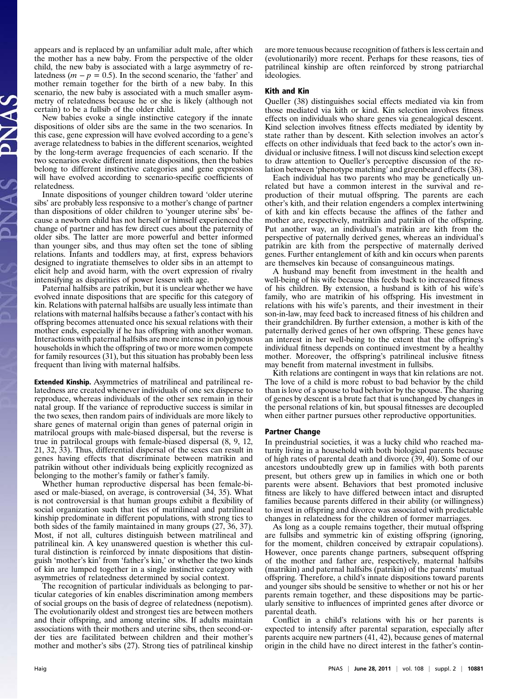appears and is replaced by an unfamiliar adult male, after which the mother has a new baby. From the perspective of the older child, the new baby is associated with a large asymmetry of relatedness ( $m - p = 0.5$ ). In the second scenario, the 'father' and mother remain together for the birth of a new baby. In this scenario, the new baby is associated with a much smaller asymmetry of relatedness because he or she is likely (although not certain) to be a fullsib of the older child.

New babies evoke a single instinctive category if the innate dispositions of older sibs are the same in the two scenarios. In this case, gene expression will have evolved according to a gene's average relatedness to babies in the different scenarios, weighted by the long-term average frequencies of each scenario. If the two scenarios evoke different innate dispositions, then the babies belong to different instinctive categories and gene expression will have evolved according to scenario-specific coefficients of relatedness.

Innate dispositions of younger children toward 'older uterine sibs' are probably less responsive to a mother's change of partner than dispositions of older children to 'younger uterine sibs' because a newborn child has not herself or himself experienced the change of partner and has few direct cues about the paternity of older sibs. The latter are more powerful and better informed than younger sibs, and thus may often set the tone of sibling relations. Infants and toddlers may, at first, express behaviors designed to ingratiate themselves to older sibs in an attempt to elicit help and avoid harm, with the overt expression of rivalry intensifying as disparities of power lessen with age.

Paternal halfsibs are patrikin, but it is unclear whether we have evolved innate dispositions that are specific for this category of kin. Relations with paternal halfsibs are usually less intimate than relations with maternal halfsibs because a father's contact with his offspring becomes attenuated once his sexual relations with their mother ends, especially if he has offspring with another woman. Interactions with paternal halfsibs are more intense in polygynous households in which the offspring of two or more women compete for family resources (31), but this situation has probably been less frequent than living with maternal halfsibs.

Extended Kinship. Asymmetries of matrilineal and patrilineal relatedness are created whenever individuals of one sex disperse to reproduce, whereas individuals of the other sex remain in their natal group. If the variance of reproductive success is similar in the two sexes, then random pairs of individuals are more likely to share genes of maternal origin than genes of paternal origin in matrilocal groups with male-biased dispersal, but the reverse is true in patrilocal groups with female-biased dispersal (8, 9, 12, 21, 32, 33). Thus, differential dispersal of the sexes can result in genes having effects that discriminate between matrikin and patrikin without other individuals being explicitly recognized as belonging to the mother's family or father's family.

Whether human reproductive dispersal has been female-biased or male-biased, on average, is controversial (34, 35). What is not controversial is that human groups exhibit a flexibility of social organization such that ties of matrilineal and patrilineal kinship predominate in different populations, with strong ties to both sides of the family maintained in many groups (27, 36, 37). Most, if not all, cultures distinguish between matrilineal and patrilineal kin. A key unanswered question is whether this cultural distinction is reinforced by innate dispositions that distinguish 'mother's kin' from 'father's kin,' or whether the two kinds of kin are lumped together in a single instinctive category with asymmetries of relatedness determined by social context.

The recognition of particular individuals as belonging to particular categories of kin enables discrimination among members of social groups on the basis of degree of relatedness (nepotism). The evolutionarily oldest and strongest ties are between mothers and their offspring, and among uterine sibs. If adults maintain associations with their mothers and uterine sibs, then second-order ties are facilitated between children and their mother's mother and mother's sibs (27). Strong ties of patrilineal kinship

are more tenuous because recognition of fathers is less certain and (evolutionarily) more recent. Perhaps for these reasons, ties of patrilineal kinship are often reinforced by strong patriarchal ideologies.

# Kith and Kin

Queller (38) distinguishes social effects mediated via kin from those mediated via kith or kind. Kin selection involves fitness effects on individuals who share genes via genealogical descent. Kind selection involves fitness effects mediated by identity by state rather than by descent. Kith selection involves an actor's effects on other individuals that feed back to the actor's own individual or inclusive fitness. I will not discuss kind selection except to draw attention to Queller's perceptive discussion of the relation between 'phenotype matching' and greenbeard effects (38).

Each individual has two parents who may be genetically unrelated but have a common interest in the survival and reproduction of their mutual offspring. The parents are each other's kith, and their relation engenders a complex intertwining of kith and kin effects because the affines of the father and mother are, respectively, matrikin and patrikin of the offspring. Put another way, an individual's matrikin are kith from the perspective of paternally derived genes, whereas an individual's patrikin are kith from the perspective of maternally derived genes. Further entanglement of kith and kin occurs when parents are themselves kin because of consanguineous matings.

A husband may benefit from investment in the health and well-being of his wife because this feeds back to increased fitness of his children. By extension, a husband is kith of his wife's family, who are matrikin of his offspring. His investment in relations with his wife's parents, and their investment in their son-in-law, may feed back to increased fitness of his children and their grandchildren. By further extension, a mother is kith of the paternally derived genes of her own offspring. These genes have an interest in her well-being to the extent that the offspring's individual fitness depends on continued investment by a healthy mother. Moreover, the offspring's patrilineal inclusive fitness may benefit from maternal investment in fullsibs.

Kith relations are contingent in ways that kin relations are not. The love of a child is more robust to bad behavior by the child than is love of a spouse to bad behavior by the spouse. The sharing of genes by descent is a brute fact that is unchanged by changes in the personal relations of kin, but spousal fitnesses are decoupled when either partner pursues other reproductive opportunities.

#### Partner Change

In preindustrial societies, it was a lucky child who reached maturity living in a household with both biological parents because of high rates of parental death and divorce (39, 40). Some of our ancestors undoubtedly grew up in families with both parents present, but others grew up in families in which one or both parents were absent. Behaviors that best promoted inclusive fitness are likely to have differed between intact and disrupted families because parents differed in their ability (or willingness) to invest in offspring and divorce was associated with predictable changes in relatedness for the children of former marriages.

As long as a couple remains together, their mutual offspring are fullsibs and symmetric kin of existing offspring (ignoring, for the moment, children conceived by extrapair copulations). However, once parents change partners, subsequent offspring of the mother and father are, respectively, maternal halfsibs (matrikin) and paternal halfsibs (patrikin) of the parents' mutual offspring. Therefore, a child's innate dispositions toward parents and younger sibs should be sensitive to whether or not his or her parents remain together, and these dispositions may be particularly sensitive to influences of imprinted genes after divorce or parental death.

Conflict in a child's relations with his or her parents is expected to intensify after parental separation, especially after parents acquire new partners (41, 42), because genes of maternal origin in the child have no direct interest in the father's contin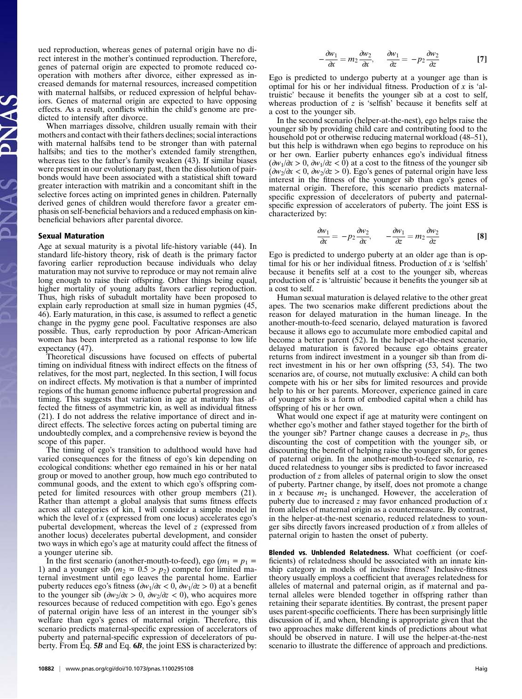ued reproduction, whereas genes of paternal origin have no direct interest in the mother's continued reproduction. Therefore, genes of paternal origin are expected to promote reduced cooperation with mothers after divorce, either expressed as increased demands for maternal resources, increased competition with maternal halfsibs, or reduced expression of helpful behaviors. Genes of maternal origin are expected to have opposing effects. As a result, conflicts within the child's genome are predicted to intensify after divorce.

When marriages dissolve, children usually remain with their mothers and contact with their fathers declines; social interactions with maternal halfsibs tend to be stronger than with paternal halfsibs; and ties to the mother's extended family strengthen, whereas ties to the father's family weaken (43). If similar biases were present in our evolutionary past, then the dissolution of pairbonds would have been associated with a statistical shift toward greater interaction with matrikin and a concomitant shift in the selective forces acting on imprinted genes in children. Paternally derived genes of children would therefore favor a greater emphasis on self-beneficial behaviors and a reduced emphasis on kinbeneficial behaviors after parental divorce.

#### Sexual Maturation

Age at sexual maturity is a pivotal life-history variable (44). In standard life-history theory, risk of death is the primary factor favoring earlier reproduction because individuals who delay maturation may not survive to reproduce or may not remain alive long enough to raise their offspring. Other things being equal, higher mortality of young adults favors earlier reproduction. Thus, high risks of subadult mortality have been proposed to explain early reproduction at small size in human pygmies (45, 46). Early maturation, in this case, is assumed to reflect a genetic change in the pygmy gene pool. Facultative responses are also possible. Thus, early reproduction by poor African-American women has been interpreted as a rational response to low life expectancy (47).

Theoretical discussions have focused on effects of pubertal timing on individual fitness with indirect effects on the fitness of relatives, for the most part, neglected. In this section, I will focus on indirect effects. My motivation is that a number of imprinted regions of the human genome influence pubertal progression and timing. This suggests that variation in age at maturity has affected the fitness of asymmetric kin, as well as individual fitness (21). I do not address the relative importance of direct and indirect effects. The selective forces acting on pubertal timing are undoubtedly complex, and a comprehensive review is beyond the scope of this paper.

The timing of ego's transition to adulthood would have had varied consequences for the fitness of ego's kin depending on ecological conditions: whether ego remained in his or her natal group or moved to another group, how much ego contributed to communal goods, and the extent to which ego's offspring competed for limited resources with other group members (21). Rather than attempt a global analysis that sums fitness effects across all categories of kin, I will consider a simple model in which the level of  $x$  (expressed from one locus) accelerates ego's pubertal development, whereas the level of  $\overline{z}$  (expressed from another locus) decelerates pubertal development, and consider two ways in which ego's age at maturity could affect the fitness of a younger uterine sib.

In the first scenario (another-mouth-to-feed), ego ( $m_1 = p_1 =$ 1) and a younger sib ( $m_2 = 0.5 > p_2$ ) compete for limited maternal investment until ego leaves the parental home. Earlier puberty reduces ego's fitness ( $\frac{\partial w_1}{\partial x} < 0$ ,  $\frac{\partial w_1}{\partial z} > 0$ ) at a benefit to the younger sib  $(\partial w_2/\partial x > 0, \ \partial w_2/\partial z < 0)$ , who acquires more resources because of reduced competition with ego. Ego's genes of paternal origin have less of an interest in the younger sib's welfare than ego's genes of maternal origin. Therefore, this scenario predicts maternal-specific expression of accelerators of puberty and paternal-specific expression of decelerators of puberty. From Eq. 5B and Eq. 6B, the joint ESS is characterized by:

$$
-\frac{\partial w_1}{\partial x} = m_2 \frac{\partial w_2}{\partial x}, \qquad \frac{\partial w_1}{\partial z} = -p_2 \frac{\partial w_2}{\partial z}
$$
 [7]

Ego is predicted to undergo puberty at a younger age than is optimal for his or her individual fitness. Production of x is 'altruistic' because it benefits the younger sib at a cost to self, whereas production of  $z$  is 'selfish' because it benefits self at a cost to the younger sib.

In the second scenario (helper-at-the-nest), ego helps raise the younger sib by providing child care and contributing food to the household pot or otherwise reducing maternal workload (48–51), but this help is withdrawn when ego begins to reproduce on his or her own. Earlier puberty enhances ego's individual fitness  $(\partial w_1/\partial x > 0, \partial w_1/\partial z < 0)$  at a cost to the fitness of the younger sib  $(\partial w_2/\partial x < 0, \, \partial w_2/\partial z > 0)$ . Ego's genes of paternal origin have less interest in the fitness of the younger sib than ego's genes of maternal origin. Therefore, this scenario predicts maternalspecific expression of decelerators of puberty and paternalspecific expression of accelerators of puberty. The joint ESS is characterized by:

$$
\frac{\partial w_1}{\partial x} = -p_2 \frac{\partial w_2}{\partial x}, \qquad -\frac{\partial w_1}{\partial z} = m_2 \frac{\partial w_2}{\partial z}
$$
 [8]

Ego is predicted to undergo puberty at an older age than is optimal for his or her individual fitness. Production of x is 'selfish' because it benefits self at a cost to the younger sib, whereas production of z is 'altruistic' because it benefits the younger sib at a cost to self.

Human sexual maturation is delayed relative to the other great apes. The two scenarios make different predictions about the reason for delayed maturation in the human lineage. In the another-mouth-to-feed scenario, delayed maturation is favored because it allows ego to accumulate more embodied capital and become a better parent (52). In the helper-at-the-nest scenario, delayed maturation is favored because ego obtains greater returns from indirect investment in a younger sib than from direct investment in his or her own offspring (53, 54). The two scenarios are, of course, not mutually exclusive: A child can both compete with his or her sibs for limited resources and provide help to his or her parents. Moreover, experience gained in care of younger sibs is a form of embodied capital when a child has offspring of his or her own.

What would one expect if age at maturity were contingent on whether ego's mother and father stayed together for the birth of the younger sib? Partner change causes a decrease in  $p_2$ , thus discounting the cost of competition with the younger sib, or discounting the benefit of helping raise the younger sib, for genes of paternal origin. In the another-mouth-to-feed scenario, reduced relatedness to younger sibs is predicted to favor increased production of z from alleles of paternal origin to slow the onset of puberty. Partner change, by itself, does not promote a change in x because  $m_2$  is unchanged. However, the acceleration of puberty due to increased  $z$  may favor enhanced production of  $x$ from alleles of maternal origin as a countermeasure. By contrast, in the helper-at-the-nest scenario, reduced relatedness to younger sibs directly favors increased production of x from alleles of paternal origin to hasten the onset of puberty.

Blended vs. Unblended Relatedness. What coefficient (or coefficients) of relatedness should be associated with an innate kinship category in models of inclusive fitness? Inclusive-fitness theory usually employs a coefficient that averages relatedness for alleles of maternal and paternal origin, as if maternal and paternal alleles were blended together in offspring rather than retaining their separate identities. By contrast, the present paper uses parent-specific coefficients. There has been surprisingly little discussion of if, and when, blending is appropriate given that the two approaches make different kinds of predictions about what should be observed in nature. I will use the helper-at-the-nest scenario to illustrate the difference of approach and predictions.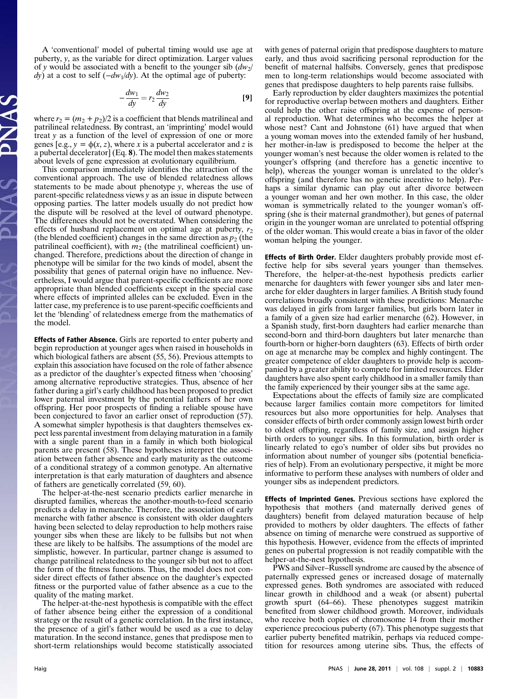A 'conventional' model of pubertal timing would use age at puberty, y, as the variable for direct optimization. Larger values of y would be associated with a benefit to the younger sib  $(dw_2$ dy) at a cost to self  $(-dw_1/dy)$ . At the optimal age of puberty:

$$
-\frac{dw_1}{dy} = r_2 \frac{dw_2}{dy}
$$
 [9]

where  $r_2 = (m_2 + p_2)/2$  is a coefficient that blends matrilineal and patrilineal relatedness. By contrast, an 'imprinting' model would treat y as a function of the level of expression of one or more genes [e.g.,  $y = \phi(x, z)$ , where x is a pubertal accelerator and z is a pubertal decelerator] (Eq. 8). The model then makes statements about levels of gene expression at evolutionary equilibrium.

This comparison immediately identifies the attraction of the conventional approach. The use of blended relatedness allows statements to be made about phenotype y, whereas the use of parent-specific relatedness views y as an issue in dispute between opposing parties. The latter models usually do not predict how the dispute will be resolved at the level of outward phenotype. The differences should not be overstated. When considering the effects of husband replacement on optimal age at puberty,  $r_2$ (the blended coefficient) changes in the same direction as  $p_2$  (the patrilineal coefficient), with  $m_2$  (the matrilineal coefficient) unchanged. Therefore, predictions about the direction of change in phenotype will be similar for the two kinds of model, absent the possibility that genes of paternal origin have no influence. Nevertheless, I would argue that parent-specific coefficients are more appropriate than blended coefficients except in the special case where effects of imprinted alleles can be excluded. Even in the latter case, my preference is to use parent-specific coefficients and let the 'blending' of relatedness emerge from the mathematics of the model.

**Effects of Father Absence.** Girls are reported to enter puberty and begin reproduction at younger ages when raised in households in which biological fathers are absent (55, 56). Previous attempts to explain this association have focused on the role of father absence as a predictor of the daughter's expected fitness when 'choosing' among alternative reproductive strategies. Thus, absence of her father during a girl's early childhood has been proposed to predict lower paternal investment by the potential fathers of her own offspring. Her poor prospects of finding a reliable spouse have been conjectured to favor an earlier onset of reproduction (57). A somewhat simpler hypothesis is that daughters themselves expect less parental investment from delaying maturation in a family with a single parent than in a family in which both biological parents are present (58). These hypotheses interpret the association between father absence and early maturity as the outcome of a conditional strategy of a common genotype. An alternative interpretation is that early maturation of daughters and absence of fathers are genetically correlated (59, 60).

The helper-at-the-nest scenario predicts earlier menarche in disrupted families, whereas the another-mouth-to-feed scenario predicts a delay in menarche. Therefore, the association of early menarche with father absence is consistent with older daughters having been selected to delay reproduction to help mothers raise younger sibs when these are likely to be fullsibs but not when these are likely to be halfsibs. The assumptions of the model are simplistic, however. In particular, partner change is assumed to change patrilineal relatedness to the younger sib but not to affect the form of the fitness functions. Thus, the model does not consider direct effects of father absence on the daughter's expected fitness or the purported value of father absence as a cue to the quality of the mating market.

The helper-at-the-nest hypothesis is compatible with the effect of father absence being either the expression of a conditional strategy or the result of a genetic correlation. In the first instance, the presence of a girl's father would be used as a cue to delay maturation. In the second instance, genes that predispose men to short-term relationships would become statistically associated

with genes of paternal origin that predispose daughters to mature early, and thus avoid sacrificing personal reproduction for the benefit of maternal halfsibs. Conversely, genes that predispose men to long-term relationships would become associated with genes that predispose daughters to help parents raise fullsibs.

Early reproduction by elder daughters maximizes the potential for reproductive overlap between mothers and daughters. Either could help the other raise offspring at the expense of personal reproduction. What determines who becomes the helper at whose nest? Cant and Johnstone (61) have argued that when a young woman moves into the extended family of her husband, her mother-in-law is predisposed to become the helper at the younger woman's nest because the older women is related to the younger's offspring (and therefore has a genetic incentive to help), whereas the younger woman is unrelated to the older's offspring (and therefore has no genetic incentive to help). Perhaps a similar dynamic can play out after divorce between a younger woman and her own mother. In this case, the older woman is symmetrically related to the younger woman's offspring (she is their maternal grandmother), but genes of paternal origin in the younger woman are unrelated to potential offspring of the older woman. This would create a bias in favor of the older woman helping the younger.

Effects of Birth Order. Elder daughters probably provide most effective help for sibs several years younger than themselves. Therefore, the helper-at-the-nest hypothesis predicts earlier menarche for daughters with fewer younger sibs and later menarche for elder daughters in larger families. A British study found correlations broadly consistent with these predictions: Menarche was delayed in girls from larger families, but girls born later in a family of a given size had earlier menarche (62). However, in a Spanish study, first-born daughters had earlier menarche than second-born and third-born daughters but later menarche than fourth-born or higher-born daughters (63). Effects of birth order on age at menarche may be complex and highly contingent. The greater competence of elder daughters to provide help is accompanied by a greater ability to compete for limited resources. Elder daughters have also spent early childhood in a smaller family than the family experienced by their younger sibs at the same age.

Expectations about the effects of family size are complicated because larger families contain more competitors for limited resources but also more opportunities for help. Analyses that consider effects of birth order commonly assign lowest birth order to oldest offspring, regardless of family size, and assign higher birth orders to younger sibs. In this formulation, birth order is linearly related to ego's number of older sibs but provides no information about number of younger sibs (potential beneficiaries of help). From an evolutionary perspective, it might be more informative to perform these analyses with numbers of older and younger sibs as independent predictors.

Effects of Imprinted Genes. Previous sections have explored the hypothesis that mothers (and maternally derived genes of daughters) benefit from delayed maturation because of help provided to mothers by older daughters. The effects of father absence on timing of menarche were construed as supportive of this hypothesis. However, evidence from the effects of imprinted genes on pubertal progression is not readily compatible with the helper-at-the-nest hypothesis.

PWS and Silver–Russell syndrome are caused by the absence of paternally expressed genes or increased dosage of maternally expressed genes. Both syndromes are associated with reduced linear growth in childhood and a weak (or absent) pubertal growth spurt (64–66). These phenotypes suggest matrikin benefited from slower childhood growth. Moreover, individuals who receive both copies of chromosome 14 from their mother experience precocious puberty (67). This phenotype suggests that earlier puberty benefited matrikin, perhaps via reduced competition for resources among uterine sibs. Thus, the effects of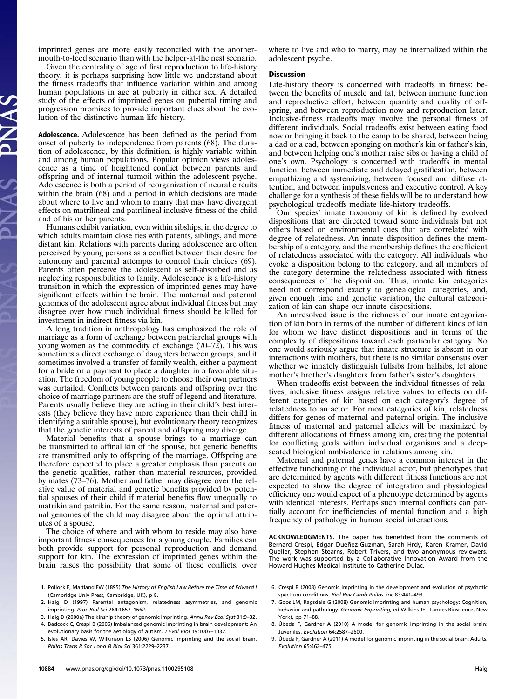imprinted genes are more easily reconciled with the anothermouth-to-feed scenario than with the helper-at-the nest scenario.

Given the centrality of age of first reproduction to life-history theory, it is perhaps surprising how little we understand about the fitness tradeoffs that influence variation within and among human populations in age at puberty in either sex. A detailed study of the effects of imprinted genes on pubertal timing and progression promises to provide important clues about the evolution of the distinctive human life history.

Adolescence. Adolescence has been defined as the period from onset of puberty to independence from parents (68). The duration of adolescence, by this definition, is highly variable within and among human populations. Popular opinion views adolescence as a time of heightened conflict between parents and offspring and of internal turmoil within the adolescent psyche. Adolescence is both a period of reorganization of neural circuits within the brain (68) and a period in which decisions are made about where to live and whom to marry that may have divergent effects on matrilineal and patrilineal inclusive fitness of the child and of his or her parents.

Humans exhibit variation, even within sibships, in the degree to which adults maintain close ties with parents, siblings, and more distant kin. Relations with parents during adolescence are often perceived by young persons as a conflict between their desire for autonomy and parental attempts to control their choices (69). Parents often perceive the adolescent as self-absorbed and as neglecting responsibilities to family. Adolescence is a life-history transition in which the expression of imprinted genes may have significant effects within the brain. The maternal and paternal genomes of the adolescent agree about individual fitness but may disagree over how much individual fitness should be killed for investment in indirect fitness via kin.

A long tradition in anthropology has emphasized the role of marriage as a form of exchange between patriarchal groups with young women as the commodity of exchange (70–72). This was sometimes a direct exchange of daughters between groups, and it sometimes involved a transfer of family wealth, either a payment for a bride or a payment to place a daughter in a favorable situation. The freedom of young people to choose their own partners was curtailed. Conflicts between parents and offspring over the choice of marriage partners are the stuff of legend and literature. Parents usually believe they are acting in their child's best interests (they believe they have more experience than their child in identifying a suitable spouse), but evolutionary theory recognizes that the genetic interests of parent and offspring may diverge.

Material benefits that a spouse brings to a marriage can be transmitted to affinal kin of the spouse, but genetic benefits are transmitted only to offspring of the marriage. Offspring are therefore expected to place a greater emphasis than parents on the genetic qualities, rather than material resources, provided by mates (73–76). Mother and father may disagree over the relative value of material and genetic benefits provided by potential spouses of their child if material benefits flow unequally to matrikin and patrikin. For the same reason, maternal and paternal genomes of the child may disagree about the optimal attributes of a spouse.

The choice of where and with whom to reside may also have important fitness consequences for a young couple. Families can both provide support for personal reproduction and demand support for kin. The expression of imprinted genes within the brain raises the possibility that some of these conflicts, over

- 1. Pollock F, Maitland FW (1895) The History of English Law Before the Time of Edward I (Cambridge Univ Press, Cambridge, UK), p 8.
- 2. Haig D (1997) Parental antagonism, relatedness asymmetries, and genomic imprinting. Proc Biol Sci 264:1657–1662.
- 3. Haig D (2000a) The kinship theory of genomic imprinting. Annu Rev Ecol Syst 31:9–32.
- 4. Badcock C, Crespi B (2006) Imbalanced genomic imprinting in brain development: An evolutionary basis for the aetiology of autism. J Evol Biol 19:1007–1032.
- 5. Isles AR, Davies W, Wilkinson LS (2006) Genomic imprinting and the social brain. Philos Trans R Soc Lond B Biol Sci 361:2229–2237.

where to live and who to marry, may be internalized within the adolescent psyche.

#### Discussion

Life-history theory is concerned with tradeoffs in fitness: between the benefits of muscle and fat, between immune function and reproductive effort, between quantity and quality of offspring, and between reproduction now and reproduction later. Inclusive-fitness tradeoffs may involve the personal fitness of different individuals. Social tradeoffs exist between eating food now or bringing it back to the camp to be shared, between being a dad or a cad, between sponging on mother's kin or father's kin, and between helping one's mother raise sibs or having a child of one's own. Psychology is concerned with tradeoffs in mental function: between immediate and delayed gratification, between empathizing and systemizing, between focused and diffuse attention, and between impulsiveness and executive control. A key challenge for a synthesis of these fields will be to understand how psychological tradeoffs mediate life-history tradeoffs.

Our species' innate taxonomy of kin is defined by evolved dispositions that are directed toward some individuals but not others based on environmental cues that are correlated with degree of relatedness. An innate disposition defines the membership of a category, and the membership defines the coefficient of relatedness associated with the category. All individuals who evoke a disposition belong to the category, and all members of the category determine the relatedness associated with fitness consequences of the disposition. Thus, innate kin categories need not correspond exactly to genealogical categories, and, given enough time and genetic variation, the cultural categorization of kin can shape our innate dispositions.

An unresolved issue is the richness of our innate categorization of kin both in terms of the number of different kinds of kin for whom we have distinct dispositions and in terms of the complexity of dispositions toward each particular category. No one would seriously argue that innate structure is absent in our interactions with mothers, but there is no similar consensus over whether we innately distinguish fullsibs from halfsibs, let alone mother's brother's daughters from father's sister's daughters.

When tradeoffs exist between the individual fitnesses of relatives, inclusive fitness assigns relative values to effects on different categories of kin based on each category's degree of relatedness to an actor. For most categories of kin, relatedness differs for genes of maternal and paternal origin. The inclusive fitness of maternal and paternal alleles will be maximized by different allocations of fitness among kin, creating the potential for conflicting goals within individual organisms and a deepseated biological ambivalence in relations among kin.

Maternal and paternal genes have a common interest in the effective functioning of the individual actor, but phenotypes that are determined by agents with different fitness functions are not expected to show the degree of integration and physiological efficiency one would expect of a phenotype determined by agents with identical interests. Perhaps such internal conflicts can partially account for inefficiencies of mental function and a high frequency of pathology in human social interactions.

ACKNOWLEDGMENTS. The paper has benefited from the comments of Bernard Crespi, Edgar Dueñez-Guzman, Sarah Hrdy, Karen Kramer, David Queller, Stephen Stearns, Robert Trivers, and two anonymous reviewers. The work was supported by a Collaborative Innovation Award from the Howard Hughes Medical Institute to Catherine Dulac.

- 6. Crespi B (2008) Genomic imprinting in the development and evolution of psychotic spectrum conditions. Biol Rev Camb Philos Soc 83:441–493.
- 7. Goos LM, Ragsdale G (2008) Genomic imprinting and human psychology: Cognition, behavior and pathology. Genomic Imprinting, ed Wilkins JF , Landes Bioscience, New York), pp 71–88.
- 8. Úbeda F, Gardner A (2010) A model for genomic imprinting in the social brain: Juveniles. Evolution 64:2587–2600.
- 9. Úbeda F, Gardner A (2011) A model for genomic imprinting in the social brain: Adults. Evolution 65:462–475.